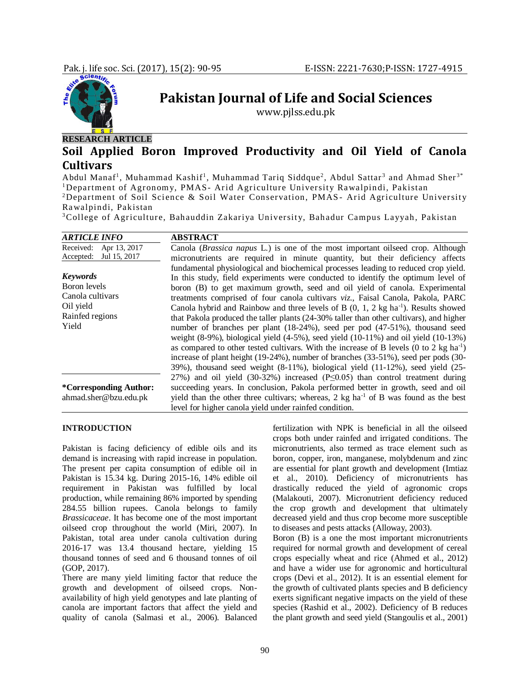

# **Pakistan Journal of Life and Social Sciences**

www.pjlss.edu.pk

## **RESEARCH ARTICLE**

## **Soil Applied Boron Improved Productivity and Oil Yield of Canola Cultivars**

Abdul Manaf<sup>1</sup>, Muhammad Kashif<sup>1</sup>, Muhammad Tariq Siddque<sup>2</sup>, Abdul Sattar<sup>3</sup> and Ahmad Sher<sup>3\*</sup> <sup>1</sup>Department of Agronomy, PMAS- Arid Agriculture University Rawalpindi, Pakistan <sup>2</sup>Department of Soil Science & Soil Water Conservation, PMAS - Arid Agriculture University Ra walpindi, Pakistan

<sup>3</sup>College of Agriculture, Bahauddin Zakariya University, Bahadur Campus Layyah, Pakistan

| <b>ARTICLE INFO</b>       | <b>ABSTRACT</b>                                                                                             |
|---------------------------|-------------------------------------------------------------------------------------------------------------|
| Apr 13, 2017<br>Received: | Canola ( <i>Brassica napus</i> L.) is one of the most important oilseed crop. Although                      |
| Jul 15, 2017<br>Accepted: | micronutrients are required in minute quantity, but their deficiency affects                                |
|                           | fundamental physiological and biochemical processes leading to reduced crop yield.                          |
| <b>Keywords</b>           | In this study, field experiments were conducted to identify the optimum level of                            |
| Boron levels              | boron (B) to get maximum growth, seed and oil yield of canola. Experimental                                 |
| Canola cultivars          | treatments comprised of four canola cultivars viz., Faisal Canola, Pakola, PARC                             |
| Oil yield                 | Canola hybrid and Rainbow and three levels of B $(0, 1, 2 \text{ kg ha}^{-1})$ . Results showed             |
| Rainfed regions           | that Pakola produced the taller plants (24-30% taller than other cultivars), and higher                     |
| Yield                     | number of branches per plant (18-24%), seed per pod (47-51%), thousand seed                                 |
|                           | weight $(8-9\%)$ , biological yield $(4-5\%)$ , seed yield $(10-11\%)$ and oil yield $(10-13\%)$            |
|                           | as compared to other tested cultivars. With the increase of B levels $(0 \text{ to } 2 \text{ kg ha}^{-1})$ |
|                           | increase of plant height (19-24%), number of branches (33-51%), seed per pods (30-                          |
|                           | $39\%$ ), thousand seed weight $(8-11\%)$ , biological yield $(11-12\%)$ , seed yield $(25-$                |
|                           | 27%) and oil yield (30-32%) increased ( $P\leq 0.05$ ) than control treatment during                        |
| *Corresponding Author:    | succeeding years. In conclusion, Pakola performed better in growth, seed and oil                            |
| ahmad.sher@bzu.edu.pk     | yield than the other three cultivars; whereas, 2 kg ha <sup>-1</sup> of B was found as the best             |
|                           | level for higher canola yield under rainfed condition.                                                      |

## **INTRODUCTION**

Pakistan is facing deficiency of edible oils and its demand is increasing with rapid increase in population. The present per capita consumption of edible oil in Pakistan is 15.34 kg. During 2015-16, 14% edible oil requirement in Pakistan was fulfilled by local production, while remaining 86% imported by spending 284.55 billion rupees. Canola belongs to family *Brassicaceae*. It has become one of the most important oilseed crop throughout the world (Miri, 2007). In Pakistan, total area under canola cultivation during 2016-17 was 13.4 thousand hectare, yielding 15 thousand tonnes of seed and 6 thousand tonnes of oil (GOP, 2017).

There are many yield limiting factor that reduce the growth and development of oilseed crops. Nonavailability of high yield genotypes and late planting of canola are important factors that affect the yield and quality of canola (Salmasi et al., 2006). Balanced

fertilization with NPK is beneficial in all the oilseed crops both under rainfed and irrigated conditions. The micronutrients, also termed as trace element such as boron, copper, iron, manganese, molybdenum and zinc are essential for plant growth and development (Imtiaz et al., 2010). Deficiency of micronutrients has drastically reduced the yield of agronomic crops (Malakouti, 2007). Micronutrient deficiency reduced the crop growth and development that ultimately decreased yield and thus crop become more susceptible to diseases and pests attacks (Alloway, 2003).

Boron (B) is a one the most important micronutrients required for normal growth and development of cereal crops especially wheat and rice (Ahmed et al., 2012) and have a wider use for agronomic and horticultural crops (Devi et al., 2012). It is an essential element for the growth of cultivated plants species and B deficiency exerts significant negative impacts on the yield of these species (Rashid et al., 2002). Deficiency of B reduces the plant growth and seed yield (Stangoulis et al., 2001)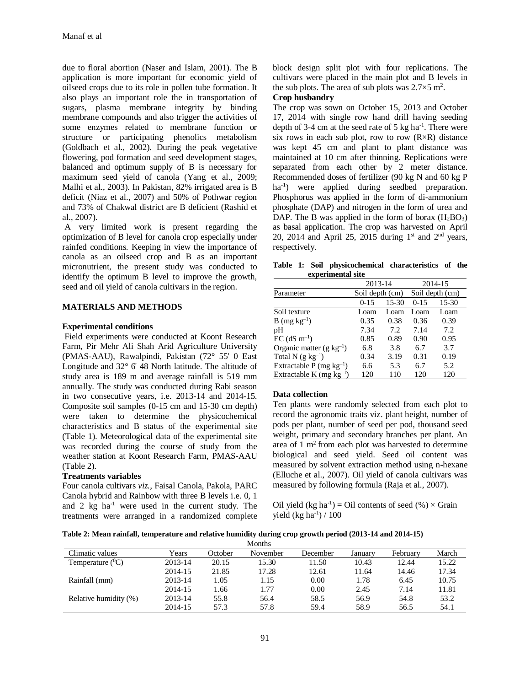due to floral abortion (Naser and Islam, 2001). The B application is more important for economic yield of oilseed crops due to its role in pollen tube formation. It also plays an important role the in transportation of sugars, plasma membrane integrity by binding membrane compounds and also trigger the activities of some enzymes related to membrane function or structure or participating phenolics metabolism (Goldbach et al., 2002). During the peak vegetative flowering, pod formation and seed development stages, balanced and optimum supply of B is necessary for maximum seed yield of canola (Yang et al., 2009; Malhi et al., 2003). In Pakistan, 82% irrigated area is B deficit (Niaz et al., 2007) and 50% of Pothwar region and 73% of Chakwal district are B deficient (Rashid et al., 2007).

A very limited work is present regarding the optimization of B level for canola crop especially under rainfed conditions. Keeping in view the importance of canola as an oilseed crop and B as an important micronutrient, the present study was conducted to identify the optimum B level to improve the growth, seed and oil yield of canola cultivars in the region.

## **MATERIALS AND METHODS**

## **Experimental conditions**

Field experiments were conducted at Koont Research Farm, Pir Mehr Ali Shah Arid Agriculture University (PMAS-AAU), Rawalpindi, Pakistan (72° 55' 0 East Longitude and 32° 6' 48 North latitude. The altitude of study area is 189 m and average rainfall is 519 mm annually. The study was conducted during Rabi season in two consecutive years, i.e. 2013-14 and 2014-15. Composite soil samples (0-15 cm and 15-30 cm depth) were taken to determine the physicochemical characteristics and B status of the experimental site (Table 1). Meteorological data of the experimental site was recorded during the course of study from the weather station at Koont Research Farm, PMAS-AAU (Table 2).

## **Treatments variables**

Four canola cultivars *viz.,* Faisal Canola, Pakola, PARC Canola hybrid and Rainbow with three B levels i.e. 0, 1 and  $2 \text{ kg } \text{ha}^{-1}$  were used in the current study. The treatments were arranged in a randomized complete block design split plot with four replications. The cultivars were placed in the main plot and B levels in the sub plots. The area of sub plots was  $2.7 \times 5$  m<sup>2</sup>.

#### **Crop husbandry**

The crop was sown on October 15, 2013 and October 17, 2014 with single row hand drill having seeding depth of 3-4 cm at the seed rate of 5  $kg$  ha<sup>-1</sup>. There were six rows in each sub plot, row to row  $(R \times R)$  distance was kept 45 cm and plant to plant distance was maintained at 10 cm after thinning. Replications were separated from each other by 2 meter distance. Recommended doses of fertilizer (90 kg N and 60 kg P ha<sup>-1</sup>) were applied during seedbed preparation. Phosphorus was applied in the form of di-ammonium phosphate (DAP) and nitrogen in the form of urea and DAP. The B was applied in the form of borax  $(H_2BO_3)$ as basal application. The crop was harvested on April 20, 2014 and April 25, 2015 during  $1<sup>st</sup>$  and  $2<sup>nd</sup>$  years, respectively.

**Table 1: Soil physicochemical characteristics of the experimental site**

|                                      | 2013-14         |       | 2014-15 |                 |  |
|--------------------------------------|-----------------|-------|---------|-----------------|--|
| Parameter                            | Soil depth (cm) |       |         | Soil depth (cm) |  |
|                                      | $0-15$          | 15-30 | $0-15$  | $15-30$         |  |
| Soil texture                         | Loam            | Loam  | Loam    | Loam            |  |
| B (mg $kg^{-1}$ )                    | 0.35            | 0.38  | 0.36    | 0.39            |  |
| pН                                   | 7.34            | 7.2   | 7.14    | 7.2             |  |
| $EC$ (dS m <sup>-1</sup> )           | 0.85            | 0.89  | 0.90    | 0.95            |  |
| Organic matter $(g \text{ kg}^{-1})$ | 6.8             | 3.8   | 6.7     | 3.7             |  |
| Total $N$ (g $kg^{-1}$ )             | 0.34            | 3.19  | 0.31    | 0.19            |  |
| Extractable P (mg $kg^{-1}$ )        | 6.6             | 5.3   | 6.7     | 5.2             |  |
| Extractable K (mg $kg^{-1}$ )        | 120             | 110   | 120     | 120             |  |

## **Data collection**

Ten plants were randomly selected from each plot to record the agronomic traits viz. plant height, number of pods per plant, number of seed per pod, thousand seed weight, primary and secondary branches per plant. An area of  $1 \text{ m}^2$  from each plot was harvested to determine biological and seed yield. Seed oil content was measured by solvent extraction method using n-hexane (Elluche et al., 2007). Oil yield of canola cultivars was measured by following formula (Raja et al., 2007).

Oil yield  $(kg ha^{-1}) = Oil$  contents of seed  $(\% ) \times$  Grain yield (kg ha<sup>-1</sup>) / 100

**Table 2: Mean rainfall, temperature and relative humidity during crop growth period (2013-14 and 2014-15)**

| Months                |         |         |          |          |         |          |       |  |  |  |
|-----------------------|---------|---------|----------|----------|---------|----------|-------|--|--|--|
| Climatic values       | Years   | October | November | December | January | February | March |  |  |  |
| Temperature $(^0C)$   | 2013-14 | 20.15   | 15.30    | 11.50    | 10.43   | 12.44    | 15.22 |  |  |  |
|                       | 2014-15 | 21.85   | 17.28    | 12.61    | 11.64   | 14.46    | 17.34 |  |  |  |
| Rainfall (mm)         | 2013-14 | 1.05    | 1.15     | 0.00     | 1.78    | 6.45     | 10.75 |  |  |  |
|                       | 2014-15 | 1.66    | 1.77     | 0.00     | 2.45    | 7.14     | 11.81 |  |  |  |
| Relative humidity (%) | 2013-14 | 55.8    | 56.4     | 58.5     | 56.9    | 54.8     | 53.2  |  |  |  |
|                       | 2014-15 | 57.3    | 57.8     | 59.4     | 58.9    | 56.5     | 54.1  |  |  |  |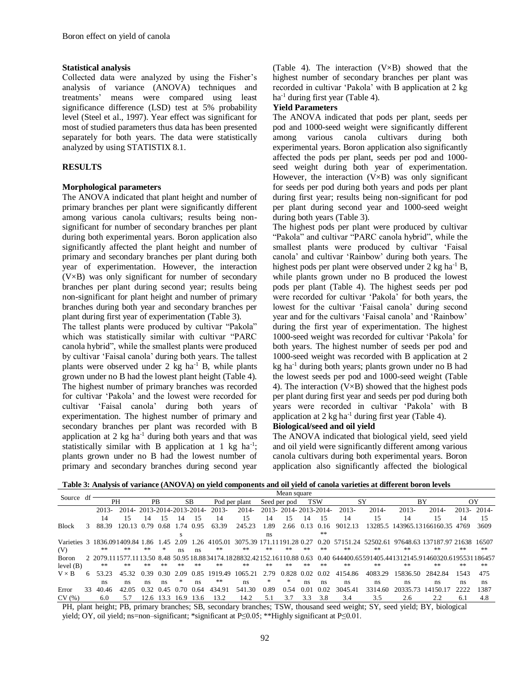#### **Statistical analysis**

Collected data were analyzed by using the Fisher's analysis of variance (ANOVA) techniques and treatments' means were compared using least significance difference (LSD) test at 5% probability level (Steel et al., 1997). Year effect was significant for most of studied parameters thus data has been presented separately for both years. The data were statistically analyzed by using STATISTIX 8.1.

#### **RESULTS**

#### **Morphological parameters**

The ANOVA indicated that plant height and number of primary branches per plant were significantly different among various canola cultivars; results being nonsignificant for number of secondary branches per plant during both experimental years. Boron application also significantly affected the plant height and number of primary and secondary branches per plant during both year of experimentation. However, the interaction (V×B) was only significant for number of secondary branches per plant during second year; results being non-significant for plant height and number of primary branches during both year and secondary branches per plant during first year of experimentation (Table 3).

The tallest plants were produced by cultivar "Pakola" which was statistically similar with cultivar "PARC canola hybrid", while the smallest plants were produced by cultivar 'Faisal canola' during both years. The tallest plants were observed under  $2 \text{ kg } ha^{-1}$  B, while plants grown under no B had the lowest plant height (Table 4). The highest number of primary branches was recorded for cultivar 'Pakola' and the lowest were recorded for cultivar 'Faisal canola' during both years of experimentation. The highest number of primary and secondary branches per plant was recorded with B application at  $2 \text{ kg } \text{ha}^{-1}$  during both years and that was statistically similar with B application at  $1 \text{ kg } ha^{-1}$ ; plants grown under no B had the lowest number of primary and secondary branches during second year

(Table 4). The interaction (V×B) showed that the highest number of secondary branches per plant was recorded in cultivar 'Pakola' with B application at 2 kg ha<sup>-1</sup> during first year (Table 4).

#### **Yield Parameters**

The ANOVA indicated that pods per plant, seeds per pod and 1000-seed weight were significantly different among various canola cultivars during both experimental years. Boron application also significantly affected the pods per plant, seeds per pod and 1000 seed weight during both year of experimentation. However, the interaction  $(V \times B)$  was only significant for seeds per pod during both years and pods per plant during first year; results being non-significant for pod per plant during second year and 1000-seed weight during both years (Table 3).

The highest pods per plant were produced by cultivar "Pakola" and cultivar "PARC canola hybrid", while the smallest plants were produced by cultivar 'Faisal canola' and cultivar 'Rainbow' during both years. The highest pods per plant were observed under 2 kg ha<sup>-1</sup> B, while plants grown under no B produced the lowest pods per plant (Table 4). The highest seeds per pod were recorded for cultivar 'Pakola' for both years, the lowest for the cultivar 'Faisal canola' during second year and for the cultivars 'Faisal canola' and 'Rainbow' during the first year of experimentation. The highest 1000-seed weight was recorded for cultivar 'Pakola' for both years. The highest number of seeds per pod and 1000-seed weight was recorded with B application at 2  $kg$  ha<sup>-1</sup> during both years; plants grown under no B had the lowest seeds per pod and 1000-seed weight (Table 4). The interaction (V×B) showed that the highest pods per plant during first year and seeds per pod during both years were recorded in cultivar 'Pakola' with B application at  $2 \text{ kg } ha^{-1}$  during first year (Table 4).

## **Biological/seed and oil yield**

The ANOVA indicated that biological yield, seed yield and oil yield were significantly different among various canola cultivars during both experimental years. Boron application also significantly affected the biological

**Table 3: Analysis of variance (ANOVA) on yield components and oil yield of canola varieties at different boron levels**

|                              | df |                  | Mean square               |           |      |           |           |         |                                                   |      |                      |               |            |          |         |          |                                                       |          |           |
|------------------------------|----|------------------|---------------------------|-----------|------|-----------|-----------|---------|---------------------------------------------------|------|----------------------|---------------|------------|----------|---------|----------|-------------------------------------------------------|----------|-----------|
| Source                       |    | PH               |                           | <b>PB</b> |      | <b>SB</b> |           |         | Pod per plant                                     |      | Seed per pod         |               | <b>TSW</b> |          | SY      | BY       |                                                       | OY       |           |
|                              |    | $2013 -$         | 2014-2013-2014-2013-2014- |           |      |           |           | 2013-   | $2014-$                                           |      | 2013-2014-2013-2014- |               |            | $2013 -$ | $2014-$ | $2013-$  | $2014-$                                               | $2013 -$ | $2014-$   |
|                              |    | 14               | 15                        | 14        | 15   | 14        | 15        | 14      | 15                                                | 14   | 15                   | 14            | 15         | 14       | 15      | 14       | 15                                                    | 14       | 15        |
| <b>Block</b>                 | 3  | 88.39            | 120.13.                   | 0.79      | 0.68 | 1.74      | 0.95      | 63.39   | 245.23                                            | 1.89 | 2.66                 | 0.13          | 0.16       | 9012.13  |         |          | 13285.5 143965.13166160.35 4769                       |          | 3609      |
|                              |    |                  |                           |           |      |           |           |         |                                                   | ns   |                      |               | $\gg \gg$  |          |         |          |                                                       |          |           |
| Varieties 3 1836.091409.84 1 |    |                  |                           | 1.86      | .45  | 2.09      | 26        | 4105.01 | 3075.39                                           |      | -28<br>191           |               | 0.20       | 57151.24 |         |          | 52502.61 97648.63 137187.97 21638                     |          | 16507     |
| (V)                          |    | $**$             | $**$                      | **        | *    | ns        | ns        | **      | **                                                | **   | **                   | **            | $**$       | $* *$    | **      | **       | **                                                    | **       | $* *$     |
| <b>Boron</b>                 |    | 2 2079 111577 11 |                           | 13.50     |      |           |           |         | 8.48 50.95 18.8834174.1828832.42152.16110.88 0.63 |      |                      |               |            |          |         |          | 0.40 644400.65591405.441312145.91460320.6195531186457 |          |           |
| level $(B)$                  |    | $\gg \gg$        | $**$                      | **        | **   | $**$      | $\gg \gg$ | **      | **                                                | **   | **                   | $\ast$ $\ast$ | $\gg \gg$  | **       | **      | **       | **                                                    | **       | $\gg \gg$ |
| $V \times B$                 | 6  | 53.23            | 45.32                     | 0.39      | 0.30 | 2.09      | 0.85      | 1919.49 | 1065.21                                           | 2.79 | 0.828                | 0.02          | 0.02       | 4154.86  | 4083.29 | 15836.50 | 2842.84                                               | 1543     | 475       |
|                              |    | ns.              | ns                        | ns        | ns.  | *         | ns        | **      | ns                                                | *    | *                    | ns            | <b>ns</b>  | ns.      | ns      | ns.      | ns                                                    | ns       | ns        |
| Error                        | 33 | 40.46            | 42.05                     | 0.32      | 0.45 | 0.70      | 0.64      | 434.91  | 541.30                                            | 0.89 | 0.54                 | 0.01          | 0.02       | 3045.41  | 3314.60 | 20335.73 | 14150.17                                              | າາາາ     | 1387      |
| CV(%)                        |    | 6.0              | 5.7                       | 2.6       | 13.3 | 16.9      | 13.6      | 13.2    | 14.2                                              | 5.1  | 3.7                  | 3.3           | 3.8        | 3.4      | 3.5     | 2.6      | 2.2                                                   | 6.1      | 4.8       |

PH, plant height; PB, primary branches; SB, secondary branches; TSW, thousand seed weight; SY, seed yield; BY, biological yield; OY, oil yield; ns=non–significant; \*significant at P≤0.05; \*\*Highly significant at P≤0.01.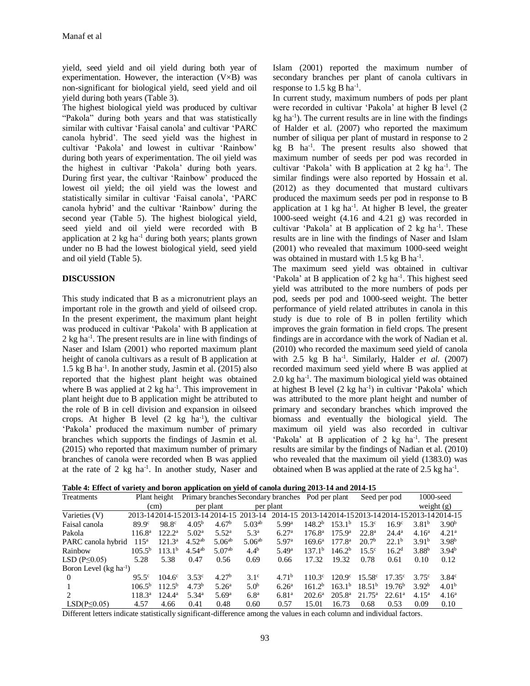yield, seed yield and oil yield during both year of experimentation. However, the interaction  $(V \times B)$  was non-significant for biological yield, seed yield and oil yield during both years (Table 3).

The highest biological yield was produced by cultivar "Pakola" during both years and that was statistically similar with cultivar 'Faisal canola' and cultivar 'PARC canola hybrid'. The seed yield was the highest in cultivar 'Pakola' and lowest in cultivar 'Rainbow' during both years of experimentation. The oil yield was the highest in cultivar 'Pakola' during both years. During first year, the cultivar 'Rainbow' produced the lowest oil yield; the oil yield was the lowest and statistically similar in cultivar 'Faisal canola', 'PARC canola hybrid' and the cultivar 'Rainbow' during the second year (Table 5). The highest biological yield, seed yield and oil yield were recorded with B application at  $2 \text{ kg ha}^{-1}$  during both years; plants grown under no B had the lowest biological yield, seed yield and oil yield (Table 5).

#### **DISCUSSION**

This study indicated that B as a micronutrient plays an important role in the growth and yield of oilseed crop. In the present experiment, the maximum plant height was produced in cultivar 'Pakola' with B application at 2 kg ha<sup>-1</sup>. The present results are in line with findings of Naser and Islam (2001) who reported maximum plant height of canola cultivars as a result of B application at 1.5 kg B ha-1 . In another study, Jasmin et al. (2015) also reported that the highest plant height was obtained where B was applied at  $2 \text{ kg ha}^{-1}$ . This improvement in plant height due to B application might be attributed to the role of B in cell division and expansion in oilseed crops. At higher B level  $(2 \text{ kg } ha^{-1})$ , the cultivar 'Pakola' produced the maximum number of primary branches which supports the findings of Jasmin et al. (2015) who reported that maximum number of primary branches of canola were recorded when B was applied at the rate of  $2 \text{ kg } ha^{-1}$ . In another study, Naser and Islam (2001) reported the maximum number of secondary branches per plant of canola cultivars in response to  $1.5$  kg B ha<sup>-1</sup>.

In current study, maximum numbers of pods per plant were recorded in cultivar 'Pakola' at higher B level (2  $kg$  ha<sup>-1</sup>). The current results are in line with the findings of Halder et al. (2007) who reported the maximum number of siliqua per plant of mustard in response to 2 kg B ha-1 . The present results also showed that maximum number of seeds per pod was recorded in cultivar 'Pakola' with B application at 2 kg ha-1 . The similar findings were also reported by Hossain et al. (2012) as they documented that mustard cultivars produced the maximum seeds per pod in response to B application at  $1 \text{ kg}$  ha<sup>-1</sup>. At higher B level, the greater 1000-seed weight (4.16 and 4.21 g) was recorded in cultivar 'Pakola' at B application of 2  $kg$  ha<sup>-1</sup>. These results are in line with the findings of Naser and Islam (2001) who revealed that maximum 1000-seed weight was obtained in mustard with  $1.5$  kg B ha<sup>-1</sup>.

The maximum seed yield was obtained in cultivar 'Pakola' at B application of 2 kg ha<sup>-1</sup>. This highest seed yield was attributed to the more numbers of pods per pod, seeds per pod and 1000-seed weight. The better performance of yield related attributes in canola in this study is due to role of B in pollen fertility which improves the grain formation in field crops. The present findings are in accordance with the work of Nadian et al. (2010) who recorded the maximum seed yield of canola with 2.5 kg B ha<sup>-1</sup>. Similarly, Halder *et al.* (2007) recorded maximum seed yield where B was applied at 2.0 kg ha-1 . The maximum biological yield was obtained at highest B level (2 kg ha<sup>-1</sup>) in cultivar 'Pakola' which was attributed to the more plant height and number of primary and secondary branches which improved the biomass and eventually the biological yield. The maximum oil yield was also recorded in cultivar 'Pakola' at B application of 2 kg ha<sup>-1</sup>. The present results are similar by the findings of Nadian et al. (2010) who revealed that the maximum oil yield (1383.0) was obtained when B was applied at the rate of  $2.5 \text{ kg ha}^{-1}$ .

| Table 4: Effect of variety and boron application on yield of canola during 2013-14 and 2014-15 |  |  |
|------------------------------------------------------------------------------------------------|--|--|
|                                                                                                |  |  |

| Treatments                  | Plant height       |                    |                   |                              |                    | Primary branches Secondary branches Pod per plant  |                    |                    |                    | Seed per pod       |                   | $1000$ -seed      |
|-----------------------------|--------------------|--------------------|-------------------|------------------------------|--------------------|----------------------------------------------------|--------------------|--------------------|--------------------|--------------------|-------------------|-------------------|
|                             |                    | (cm)               |                   | per plant                    |                    | per plant                                          |                    |                    |                    |                    |                   | weight $(g)$      |
| Varieties (V)               |                    |                    |                   | 2013-142014-152013-142014-15 | 2013-14            | 2014-15 2013-142014-152013-142014-152013-142014-15 |                    |                    |                    |                    |                   |                   |
| Faisal canola               | 89.9c              | 98.8 <sup>c</sup>  | 4.05 <sup>b</sup> | 4.67 <sup>b</sup>            | 5.03 <sup>ab</sup> | 5.99a                                              | 148.2 <sup>b</sup> | 153.1 <sup>b</sup> | 15.3c              | 16.9 <sup>c</sup>  | 3.81 <sup>b</sup> | 3.90 <sup>b</sup> |
| Pakola                      | 116.8 <sup>a</sup> | 122.2 <sup>a</sup> | 5.02 <sup>a</sup> | $5.52^{\rm a}$               | 5.3 <sup>a</sup>   | 6.27 <sup>a</sup>                                  | $176.8^{\rm a}$    | 175.9 <sup>a</sup> | $22.8^{\rm a}$     | $24.4^{\rm a}$     | 4.16 <sup>a</sup> | 4.21 <sup>a</sup> |
| PARC canola hybrid          | $115^a$            | 121.3 <sup>a</sup> | $4.52^{ab}$       | $5.06^{ab}$                  | 5.06 <sup>ab</sup> | 5.97 <sup>a</sup>                                  | $169.6^a$          | $177.8^{\rm a}$    | 20.7 <sup>b</sup>  | $22.1^{\rm b}$     | 3.91 <sup>b</sup> | 3.98 <sup>b</sup> |
| Rainbow                     | $105.5^{b}$        | 113.1 <sup>b</sup> | $4.54^{ab}$       | 5.07 <sup>ab</sup>           | $4.4^{b}$          | 5.49 <sup>a</sup>                                  | 137.1 <sup>b</sup> | 146.2 <sup>b</sup> | $15.5^{\circ}$     | 16.2 <sup>d</sup>  | 3.88 <sup>b</sup> | 3.94 <sup>b</sup> |
| LSD $(P \leq 0.05)$         | 5.28               | 5.38               | 0.47              | 0.56                         | 0.69               | 0.66                                               | 17.32              | 19.32              | 0.78               | 0.61               | 0.10              | 0.12              |
| Boron Level $(kg ha^{-1})$  |                    |                    |                   |                              |                    |                                                    |                    |                    |                    |                    |                   |                   |
| $\Omega$                    | 95.5 <sup>c</sup>  | $104.6^{\circ}$    | 3.53c             | 4.27 <sup>b</sup>            | 3.1 <sup>c</sup>   | 4.71 <sup>b</sup>                                  | $110.3^{\circ}$    | $120.9^{\circ}$    | 15.58 <sup>c</sup> | 17.35c             | $3.75^{\circ}$    | 3.84 <sup>c</sup> |
|                             | $106.5^{b}$        | $112.5^{b}$        | 4.73 <sup>b</sup> | $5.26^{\rm a}$               | 5.0 <sup>b</sup>   | 6.26 <sup>a</sup>                                  | $161.2^b$          | $163.1^{\rm b}$    | 18.51 <sup>b</sup> | $19.76^{b}$        | 3.92 <sup>b</sup> | 4.01 <sup>b</sup> |
| $\mathcal{D}_{\mathcal{L}}$ | 118.3 <sup>a</sup> | $124.4^{\rm a}$    | 5.34 <sup>a</sup> | 5.69 <sup>a</sup>            | 6.8 <sup>a</sup>   | 6.81 <sup>a</sup>                                  | $202.6^{\circ}$    | 205.8 <sup>a</sup> | 21.75 <sup>a</sup> | 22.61 <sup>a</sup> | 4.15 <sup>a</sup> | 4.16 <sup>a</sup> |
| LSD(P<0.05)                 | 4.57               | 4.66               | 0.41              | 0.48                         | 0.60               | 0.57                                               | 15.01              | 16.73              | 0.68               | 0.53               | 0.09              | 0.10              |

Different letters indicate statistically significant-difference among the values in each column and individual factors.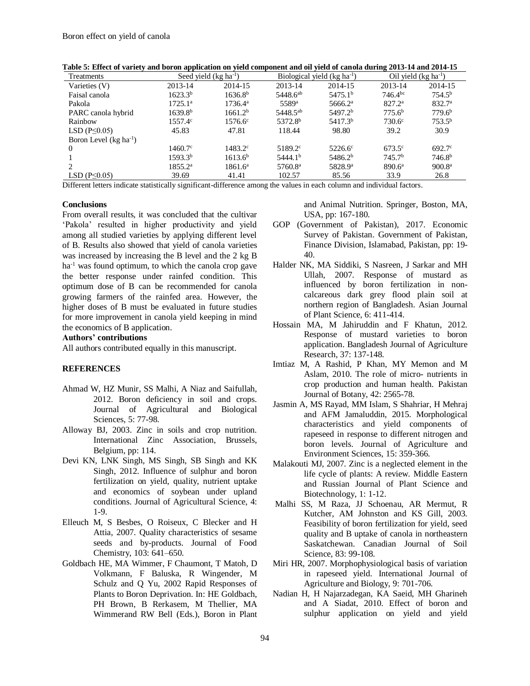| Treatments                 | Seed yield $(kg ha-1)$ |                     |                      | Biological yield $(kg ha-1)$ | Oil yield $(kg ha^{-1})$ |                    |  |
|----------------------------|------------------------|---------------------|----------------------|------------------------------|--------------------------|--------------------|--|
| Varieties (V)              | 2013-14                | 2014-15             | 2013-14              | 2014-15                      | 2013-14                  | 2014-15            |  |
| Faisal canola              | $1623.3^{b}$           | 1636.8 <sup>b</sup> | 5448.6 <sup>ab</sup> | 5475.1 <sup>b</sup>          | $746.4^{bc}$             | 754.5 <sup>b</sup> |  |
| Pakola                     | $1725.1^{\circ}$       | $1736.4^{\rm a}$    | 5589 <sup>a</sup>    | $5666.2^{\rm a}$             | $827.2^{\rm a}$          | 832.7 <sup>a</sup> |  |
| PARC canola hybrid         | 1639.8 <sup>b</sup>    | 1661.2 <sup>b</sup> | 5448.5 <sup>ab</sup> | 5497.2 <sup>b</sup>          | 775.6 <sup>b</sup>       | 779.6 <sup>b</sup> |  |
| Rainbow                    | 1557.4 <sup>c</sup>    | $1576.6^{\circ}$    | 5372.8 <sup>b</sup>  | 5417.3 <sup>b</sup>          | $730.6^{\circ}$          | $753.5^{b}$        |  |
| LSD $(P \leq 0.05)$        | 45.83                  | 47.81               | 118.44               | 98.80                        | 39.2                     | 30.9               |  |
| Boron Level $(kg ha^{-1})$ |                        |                     |                      |                              |                          |                    |  |
| 0                          | $1460.7^{\circ}$       | $1483.2^{\circ}$    | 5189.2 <sup>c</sup>  | $5226.6^{\circ}$             | 673.5 <sup>c</sup>       | $692.7^\circ$      |  |
|                            | 1593.3 <sup>b</sup>    | 1613.6 <sup>b</sup> | 5444.1 <sup>b</sup>  | 5486.2 <sup>b</sup>          | 745.7 <sup>b</sup>       | 746.8 <sup>b</sup> |  |
| 2                          | $1855.2^{\rm a}$       | $1861.6^{\rm a}$    | 5760.8 <sup>a</sup>  | 5828.9 <sup>a</sup>          | 890.6 <sup>a</sup>       | 900.8 <sup>a</sup> |  |
| LSD ( $P \leq 0.05$ )      | 39.69                  | 41.41               | 102.57               | 85.56                        | 33.9                     | 26.8               |  |

**Table 5: Effect of variety and boron application on yield component and oil yield of canola during 2013-14 and 2014-15**

Different letters indicate statistically significant-difference among the values in each column and individual factors.

#### **Conclusions**

From overall results, it was concluded that the cultivar 'Pakola' resulted in higher productivity and yield among all studied varieties by applying different level of B. Results also showed that yield of canola varieties was increased by increasing the B level and the 2 kg B  $ha<sup>-1</sup>$  was found optimum, to which the canola crop gave the better response under rainfed condition. This optimum dose of B can be recommended for canola growing farmers of the rainfed area. However, the higher doses of B must be evaluated in future studies for more improvement in canola yield keeping in mind the economics of B application.

## **Authors' contributions**

All authors contributed equally in this manuscript.

#### **REFERENCES**

- Ahmad W, HZ Munir, SS Malhi, A Niaz and Saifullah, 2012. Boron deficiency in soil and crops. Journal of Agricultural and Biological Sciences, 5: 77-98.
- Alloway BJ, 2003. Zinc in soils and crop nutrition. International Zinc Association, Brussels, Belgium, pp: 114.
- Devi KN, LNK Singh, MS Singh, SB Singh and KK Singh, 2012. Influence of sulphur and boron fertilization on yield, quality, nutrient uptake and economics of soybean under upland conditions. Journal of Agricultural Science, 4: 1-9.
- Elleuch M, S Besbes, O Roiseux, C Blecker and H Attia, 2007. Quality characteristics of sesame seeds and by-products. Journal of Food Chemistry, 103: 641–650.
- Goldbach HE, MA Wimmer, F Chaumont, T Matoh, D Volkmann, F Baluska, R Wingender, M Schulz and Q Yu, 2002 Rapid Responses of Plants to Boron Deprivation. In: HE Goldbach, PH Brown, B Rerkasem, M Thellier, MA Wimmerand RW Bell (Eds.), Boron in Plant

and Animal Nutrition. Springer, Boston, MA, USA, pp: 167-180.

- GOP (Government of Pakistan), 2017. Economic Survey of Pakistan. Government of Pakistan, Finance Division, Islamabad, Pakistan, pp: 19- 40.
- Halder NK, MA Siddiki, S Nasreen, J Sarkar and MH Ullah, 2007. Response of mustard as influenced by boron fertilization in noncalcareous dark grey flood plain soil at northern region of Bangladesh. Asian Journal of Plant Science, 6: 411-414.
- Hossain MA, M Jahiruddin and F Khatun, 2012. Response of mustard varieties to boron application. Bangladesh Journal of Agriculture Research, 37: 137-148.
- Imtiaz M, A Rashid, P Khan, MY Memon and M Aslam, 2010. The role of micro- nutrients in crop production and human health. Pakistan Journal of Botany, 42: 2565-78.
- Jasmin A, MS Rayad, MM Islam, S Shahriar, H Mehraj and AFM Jamaluddin, 2015. Morphological characteristics and yield components of rapeseed in response to different nitrogen and boron levels. Journal of Agriculture and Environment Sciences, 15: 359-366.
- Malakouti MJ, 2007. Zinc is a neglected element in the life cycle of plants: A review. Middle Eastern and Russian Journal of Plant Science and Biotechnology, 1: 1-12.
- Malhi SS, M Raza, JJ Schoenau, AR Mermut, R Kutcher, AM Johnston and KS Gill, 2003. Feasibility of boron fertilization for yield, seed quality and B uptake of canola in northeastern Saskatchewan. Canadian Journal of Soil Science, 83: 99-108.
- Miri HR, 2007. Morphophysiological basis of variation in rapeseed yield. International Journal of Agriculture and Biology, 9: 701-706.
- Nadian H, H Najarzadegan, KA Saeid, MH Gharineh and A Siadat, 2010. Effect of boron and sulphur application on yield and yield